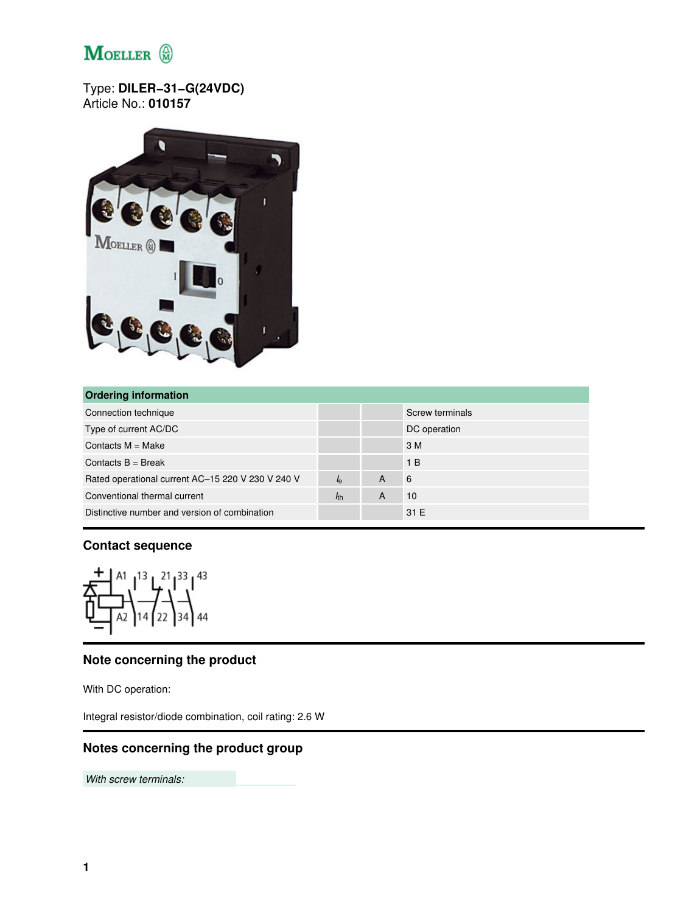

Type: **DILER−31−G(24VDC)** Article No.: **010157**



| <b>Ordering information</b>                       |             |   |                 |  |  |
|---------------------------------------------------|-------------|---|-----------------|--|--|
| Connection technique                              |             |   | Screw terminals |  |  |
| Type of current AC/DC                             |             |   | DC operation    |  |  |
| Contacts $M = Make$                               |             |   | 3 M             |  |  |
| Contacts $B = B$ reak                             |             |   | 1 <sub>B</sub>  |  |  |
| Rated operational current AC-15 220 V 230 V 240 V | $I_{\rm e}$ | A | 6               |  |  |
| Conventional thermal current                      | $h$         | A | 10              |  |  |
| Distinctive number and version of combination     |             |   | 31 E            |  |  |

#### **Contact sequence**



## **Note concerning the product**

With DC operation:

Integral resistor/diode combination, coil rating: 2.6 W

### **Notes concerning the product group**

*With screw terminals:*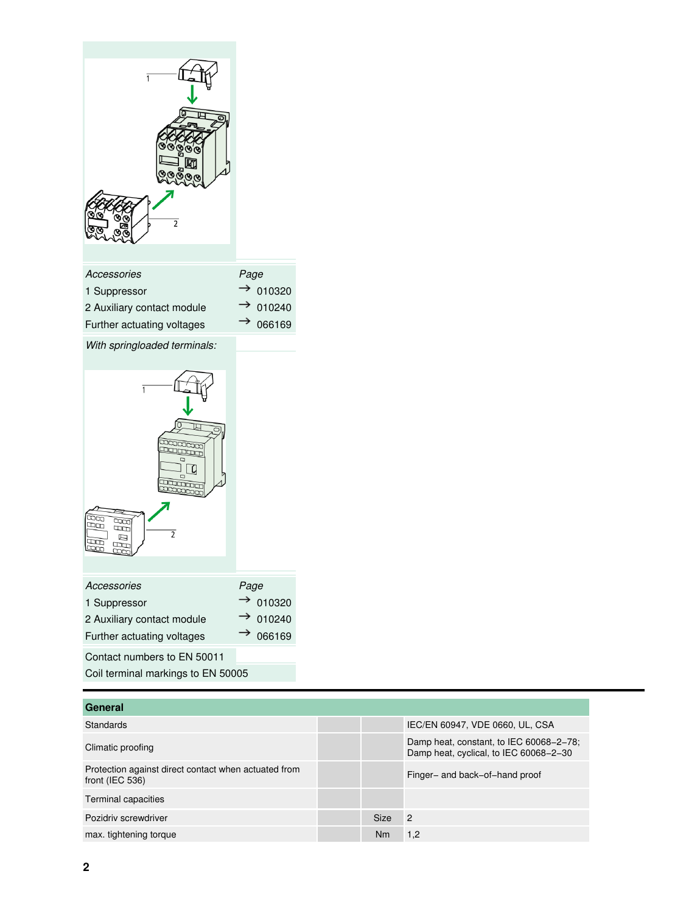

| General                                                                 |             |                                                                                   |
|-------------------------------------------------------------------------|-------------|-----------------------------------------------------------------------------------|
| <b>Standards</b>                                                        |             | IEC/EN 60947, VDE 0660, UL, CSA                                                   |
| Climatic proofing                                                       |             | Damp heat, constant, to IEC 60068-2-78;<br>Damp heat, cyclical, to IEC 60068-2-30 |
| Protection against direct contact when actuated from<br>front (IEC 536) |             | Finger- and back-of-hand proof                                                    |
| Terminal capacities                                                     |             |                                                                                   |
| Pozidriy screwdriver                                                    | <b>Size</b> | $\overline{2}$                                                                    |
| max. tightening torque                                                  | Nm          | 1.2                                                                               |